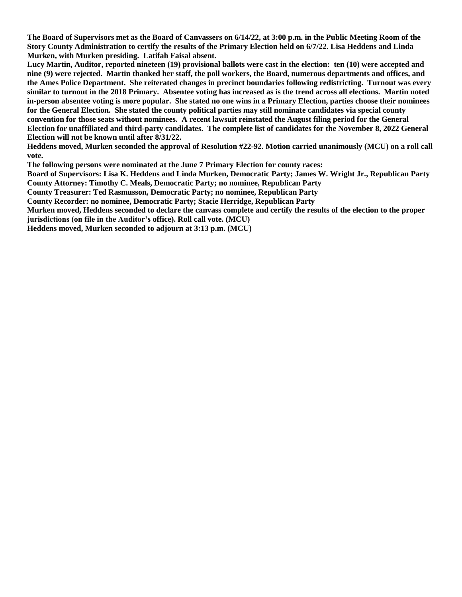**The Board of Supervisors met as the Board of Canvassers on 6/14/22, at 3:00 p.m. in the Public Meeting Room of the Story County Administration to certify the results of the Primary Election held on 6/7/22. Lisa Heddens and Linda Murken, with Murken presiding. Latifah Faisal absent.**

**Lucy Martin, Auditor, reported nineteen (19) provisional ballots were cast in the election: ten (10) were accepted and nine (9) were rejected. Martin thanked her staff, the poll workers, the Board, numerous departments and offices, and the Ames Police Department. She reiterated changes in precinct boundaries following redistricting. Turnout was every similar to turnout in the 2018 Primary. Absentee voting has increased as is the trend across all elections. Martin noted in-person absentee voting is more popular. She stated no one wins in a Primary Election, parties choose their nominees for the General Election. She stated the county political parties may still nominate candidates via special county convention for those seats without nominees. A recent lawsuit reinstated the August filing period for the General Election for unaffiliated and third-party candidates. The complete list of candidates for the November 8, 2022 General Election will not be known until after 8/31/22.**

**Heddens moved, Murken seconded the approval of Resolution #22-92. Motion carried unanimously (MCU) on a roll call vote.**

**The following persons were nominated at the June 7 Primary Election for county races:**

**Board of Supervisors: Lisa K. Heddens and Linda Murken, Democratic Party; James W. Wright Jr., Republican Party County Attorney: Timothy C. Meals, Democratic Party; no nominee, Republican Party**

**County Treasurer: Ted Rasmusson, Democratic Party; no nominee, Republican Party**

**County Recorder: no nominee, Democratic Party; Stacie Herridge, Republican Party**

**Murken moved, Heddens seconded to declare the canvass complete and certify the results of the election to the proper jurisdictions (on file in the Auditor's office). Roll call vote. (MCU)**

**Heddens moved, Murken seconded to adjourn at 3:13 p.m. (MCU)**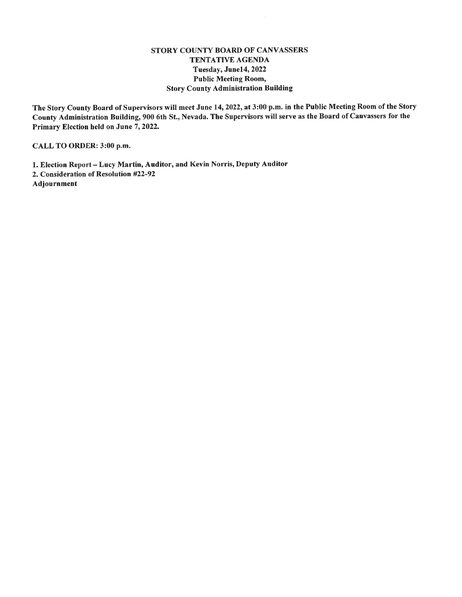#### STORY COUNTY BOARD OF CANVASSERS TENTATIVE AGENDA Tuesday, June14, 2022 **Public Meeting Room, Story County Administration Building**

The Story County Board of Supervisors will meet June 14, 2022, at 3:00 p.m. in the Public Meeting Room of the Story County Administration Building, 900 6th St., Nevada. The Supervisors will serve as the Board of Canvassers for the Primary Election held on June 7, 2022.

CALL TO ORDER: 3:00 p.m.

1. Election Report - Lucy Martin, Auditor, and Kevin Norris, Deputy Auditor 2. Consideration of Resolution #22-92

Adjournment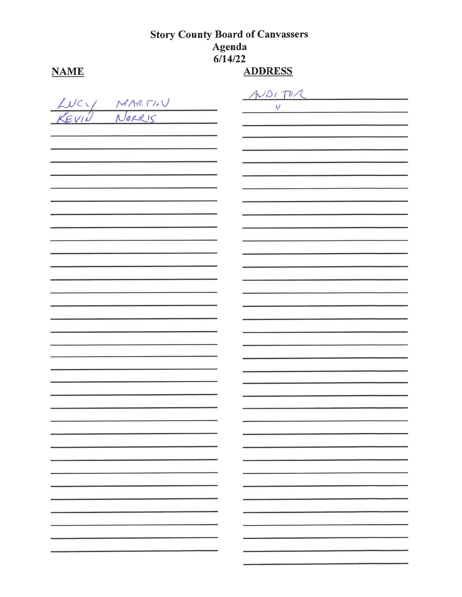# **Story County Board of Canvassers Agenda**<br>6/14/22

## **NAME**

## **ADDRESS**

|  |             | ADIPA |  |
|--|-------------|-------|--|
|  |             | Ч     |  |
|  | LUCY MARTIN |       |  |
|  |             |       |  |
|  |             |       |  |
|  |             |       |  |
|  |             |       |  |
|  |             |       |  |
|  |             |       |  |
|  |             |       |  |
|  |             |       |  |
|  |             |       |  |
|  |             |       |  |
|  |             |       |  |
|  |             |       |  |
|  |             |       |  |
|  |             |       |  |
|  |             |       |  |
|  |             |       |  |
|  |             |       |  |
|  |             |       |  |
|  |             |       |  |
|  |             |       |  |
|  |             |       |  |
|  |             |       |  |
|  |             |       |  |
|  |             |       |  |
|  |             |       |  |
|  |             |       |  |
|  |             |       |  |
|  |             |       |  |
|  |             |       |  |
|  |             |       |  |
|  |             |       |  |
|  | ۰           |       |  |
|  |             |       |  |
|  | ۰.          |       |  |
|  |             |       |  |
|  |             |       |  |
|  | ۰,          | ۰     |  |
|  |             |       |  |
|  | ۰           |       |  |
|  |             |       |  |
|  |             |       |  |
|  |             |       |  |
|  |             |       |  |